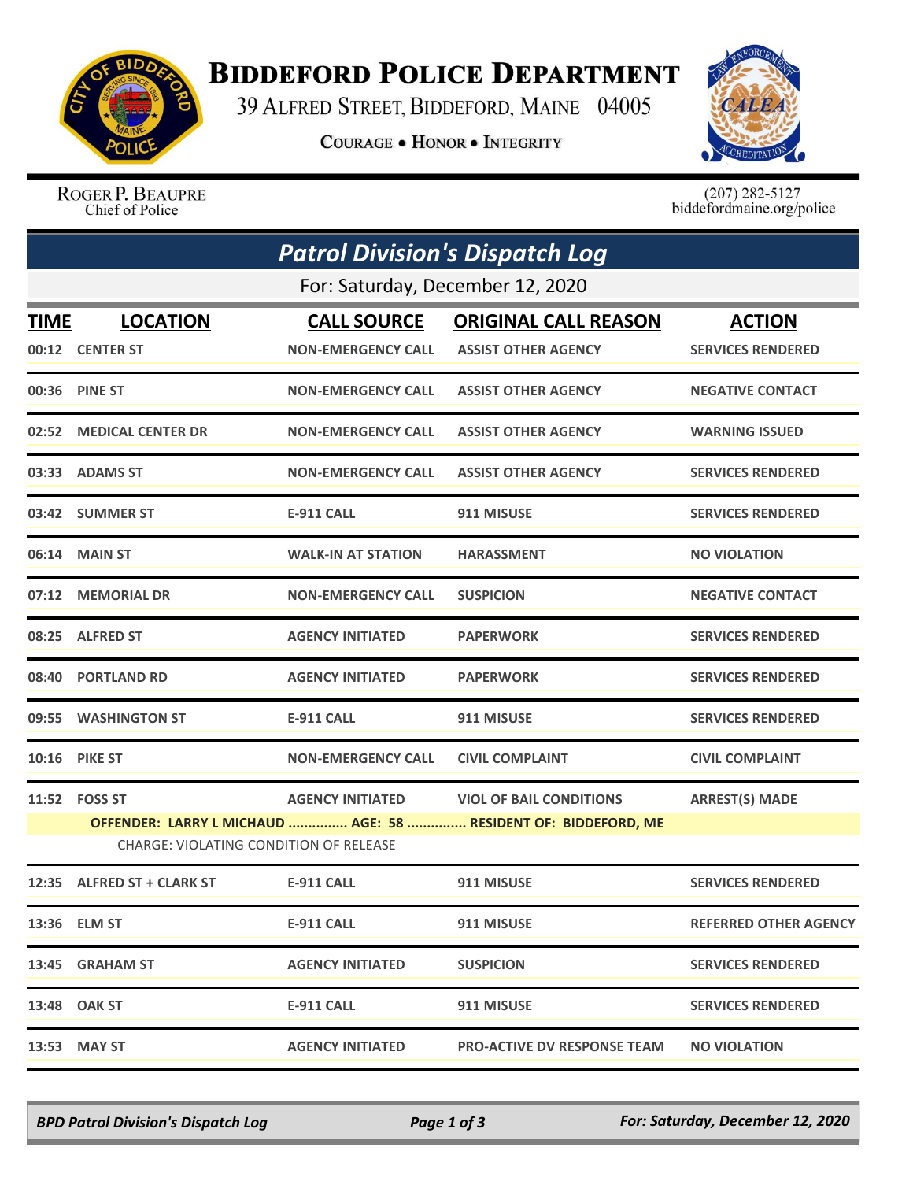

## **BIDDEFORD POLICE DEPARTMENT**

39 ALFRED STREET, BIDDEFORD, MAINE 04005

**COURAGE . HONOR . INTEGRITY** 



ROGER P. BEAUPRE Chief of Police

 $(207)$  282-5127<br>biddefordmaine.org/police

| <b>Patrol Division's Dispatch Log</b> |                                        |                           |                                                                |                              |  |  |  |
|---------------------------------------|----------------------------------------|---------------------------|----------------------------------------------------------------|------------------------------|--|--|--|
|                                       | For: Saturday, December 12, 2020       |                           |                                                                |                              |  |  |  |
| TIME                                  | <b>LOCATION</b>                        | <b>CALL SOURCE</b>        | <b>ORIGINAL CALL REASON</b>                                    | <b>ACTION</b>                |  |  |  |
|                                       | 00:12 CENTER ST                        | <b>NON-EMERGENCY CALL</b> | <b>ASSIST OTHER AGENCY</b>                                     | <b>SERVICES RENDERED</b>     |  |  |  |
|                                       | 00:36 PINE ST                          | <b>NON-EMERGENCY CALL</b> | <b>ASSIST OTHER AGENCY</b>                                     | <b>NEGATIVE CONTACT</b>      |  |  |  |
|                                       | 02:52 MEDICAL CENTER DR                | <b>NON-EMERGENCY CALL</b> | <b>ASSIST OTHER AGENCY</b>                                     | <b>WARNING ISSUED</b>        |  |  |  |
|                                       | 03:33 ADAMS ST                         | <b>NON-EMERGENCY CALL</b> | <b>ASSIST OTHER AGENCY</b>                                     | <b>SERVICES RENDERED</b>     |  |  |  |
|                                       | 03:42 SUMMER ST                        | <b>E-911 CALL</b>         | 911 MISUSE                                                     | <b>SERVICES RENDERED</b>     |  |  |  |
|                                       | 06:14 MAIN ST                          | <b>WALK-IN AT STATION</b> | <b>HARASSMENT</b>                                              | <b>NO VIOLATION</b>          |  |  |  |
|                                       | 07:12 MEMORIAL DR                      | <b>NON-EMERGENCY CALL</b> | <b>SUSPICION</b>                                               | <b>NEGATIVE CONTACT</b>      |  |  |  |
|                                       | 08:25 ALFRED ST                        | <b>AGENCY INITIATED</b>   | <b>PAPERWORK</b>                                               | <b>SERVICES RENDERED</b>     |  |  |  |
|                                       | 08:40 PORTLAND RD                      | <b>AGENCY INITIATED</b>   | <b>PAPERWORK</b>                                               | <b>SERVICES RENDERED</b>     |  |  |  |
|                                       | 09:55 WASHINGTON ST                    | <b>E-911 CALL</b>         | 911 MISUSE                                                     | <b>SERVICES RENDERED</b>     |  |  |  |
|                                       | <b>10:16 PIKE ST</b>                   | <b>NON-EMERGENCY CALL</b> | <b>CIVIL COMPLAINT</b>                                         | <b>CIVIL COMPLAINT</b>       |  |  |  |
|                                       | 11:52 FOSS ST                          | <b>AGENCY INITIATED</b>   | <b>VIOL OF BAIL CONDITIONS</b>                                 | <b>ARREST(S) MADE</b>        |  |  |  |
|                                       |                                        |                           | OFFENDER: LARRY L MICHAUD  AGE: 58  RESIDENT OF: BIDDEFORD, ME |                              |  |  |  |
|                                       | CHARGE: VIOLATING CONDITION OF RELEASE |                           |                                                                |                              |  |  |  |
|                                       | 12:35 ALFRED ST + CLARK ST             | <b>E-911 CALL</b>         | 911 MISUSE                                                     | <b>SERVICES RENDERED</b>     |  |  |  |
|                                       | 13:36 ELM ST                           | <b>E-911 CALL</b>         | 911 MISUSE                                                     | <b>REFERRED OTHER AGENCY</b> |  |  |  |
|                                       | 13:45 GRAHAM ST                        | <b>AGENCY INITIATED</b>   | <b>SUSPICION</b>                                               | <b>SERVICES RENDERED</b>     |  |  |  |
|                                       | 13:48 OAK ST                           | <b>E-911 CALL</b>         | 911 MISUSE                                                     | <b>SERVICES RENDERED</b>     |  |  |  |
|                                       | 13:53 MAY ST                           | <b>AGENCY INITIATED</b>   | <b>PRO-ACTIVE DV RESPONSE TEAM</b>                             | <b>NO VIOLATION</b>          |  |  |  |

*BPD Patrol Division's Dispatch Log Page 1 of 3 For: Saturday, December 12, 2020*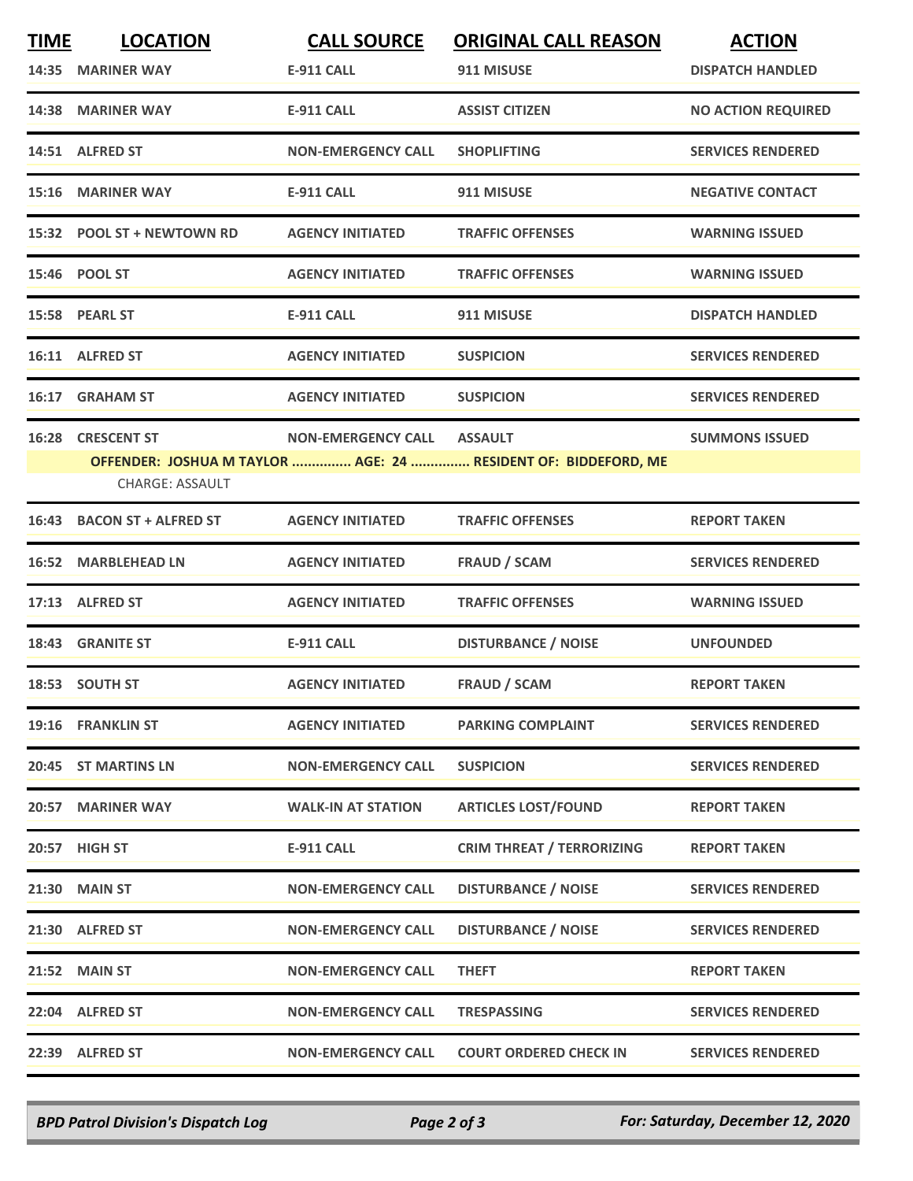| <b>TIME</b> | <b>LOCATION</b>            | <b>CALL SOURCE</b>        | <b>ORIGINAL CALL REASON</b>                                    | <b>ACTION</b>             |
|-------------|----------------------------|---------------------------|----------------------------------------------------------------|---------------------------|
|             | 14:35 MARINER WAY          | <b>E-911 CALL</b>         | 911 MISUSE                                                     | <b>DISPATCH HANDLED</b>   |
|             | 14:38 MARINER WAY          | <b>E-911 CALL</b>         | <b>ASSIST CITIZEN</b>                                          | <b>NO ACTION REQUIRED</b> |
|             | 14:51 ALFRED ST            | <b>NON-EMERGENCY CALL</b> | <b>SHOPLIFTING</b>                                             | <b>SERVICES RENDERED</b>  |
|             | 15:16 MARINER WAY          | <b>E-911 CALL</b>         | 911 MISUSE                                                     | <b>NEGATIVE CONTACT</b>   |
|             | 15:32 POOL ST + NEWTOWN RD | <b>AGENCY INITIATED</b>   | <b>TRAFFIC OFFENSES</b>                                        | <b>WARNING ISSUED</b>     |
|             | 15:46 POOL ST              | <b>AGENCY INITIATED</b>   | <b>TRAFFIC OFFENSES</b>                                        | <b>WARNING ISSUED</b>     |
|             | 15:58 PEARL ST             | <b>E-911 CALL</b>         | 911 MISUSE                                                     | <b>DISPATCH HANDLED</b>   |
|             | 16:11 ALFRED ST            | <b>AGENCY INITIATED</b>   | <b>SUSPICION</b>                                               | <b>SERVICES RENDERED</b>  |
| 16:17       | <b>GRAHAM ST</b>           | <b>AGENCY INITIATED</b>   | <b>SUSPICION</b>                                               | <b>SERVICES RENDERED</b>  |
| 16:28       | <b>CRESCENT ST</b>         | <b>NON-EMERGENCY CALL</b> | <b>ASSAULT</b>                                                 | <b>SUMMONS ISSUED</b>     |
|             | <b>CHARGE: ASSAULT</b>     |                           | OFFENDER: JOSHUA M TAYLOR  AGE: 24  RESIDENT OF: BIDDEFORD, ME |                           |
|             | 16:43 BACON ST + ALFRED ST | <b>AGENCY INITIATED</b>   | <b>TRAFFIC OFFENSES</b>                                        | <b>REPORT TAKEN</b>       |
|             | 16:52 MARBLEHEAD LN        | <b>AGENCY INITIATED</b>   | <b>FRAUD / SCAM</b>                                            | <b>SERVICES RENDERED</b>  |
|             | 17:13 ALFRED ST            | <b>AGENCY INITIATED</b>   | <b>TRAFFIC OFFENSES</b>                                        | <b>WARNING ISSUED</b>     |
|             | 18:43 GRANITE ST           | <b>E-911 CALL</b>         | <b>DISTURBANCE / NOISE</b>                                     | <b>UNFOUNDED</b>          |
|             | 18:53 SOUTH ST             | <b>AGENCY INITIATED</b>   | <b>FRAUD / SCAM</b>                                            | <b>REPORT TAKEN</b>       |
|             | 19:16 FRANKLIN ST          | <b>AGENCY INITIATED</b>   | <b>PARKING COMPLAINT</b>                                       | <b>SERVICES RENDERED</b>  |
|             | 20:45 ST MARTINS LN        | <b>NON-EMERGENCY CALL</b> | <b>SUSPICION</b>                                               | <b>SERVICES RENDERED</b>  |
|             | 20:57 MARINER WAY          | <b>WALK-IN AT STATION</b> | <b>ARTICLES LOST/FOUND</b>                                     | <b>REPORT TAKEN</b>       |
|             | 20:57 HIGH ST              | E-911 CALL                | <b>CRIM THREAT / TERRORIZING</b>                               | <b>REPORT TAKEN</b>       |
|             | <b>21:30 MAIN ST</b>       | <b>NON-EMERGENCY CALL</b> | <b>DISTURBANCE / NOISE</b>                                     | <b>SERVICES RENDERED</b>  |
|             | 21:30 ALFRED ST            | <b>NON-EMERGENCY CALL</b> | <b>DISTURBANCE / NOISE</b>                                     | <b>SERVICES RENDERED</b>  |
|             | 21:52 MAIN ST              | <b>NON-EMERGENCY CALL</b> | <b>THEFT</b>                                                   | <b>REPORT TAKEN</b>       |
|             | 22:04 ALFRED ST            | <b>NON-EMERGENCY CALL</b> | <b>TRESPASSING</b>                                             | <b>SERVICES RENDERED</b>  |
|             | 22:39 ALFRED ST            | <b>NON-EMERGENCY CALL</b> | <b>COURT ORDERED CHECK IN</b>                                  | <b>SERVICES RENDERED</b>  |
|             |                            |                           |                                                                |                           |

*BPD Patrol Division's Dispatch Log Page 2 of 3 For: Saturday, December 12, 2020*